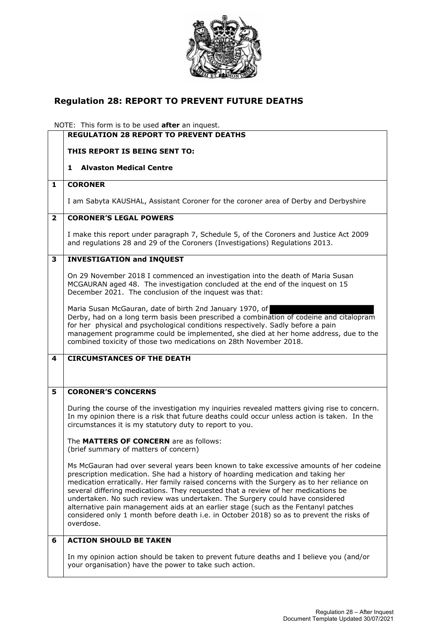

## **Regulation 28: REPORT TO PREVENT FUTURE DEATHS**

NOTE: This form is to be used **after** an inquest.

|                | <b>REGULATION 28 REPORT TO PREVENT DEATHS</b>                                                                                                                                                                                                                                                                                                                                                                                                                                                                                                                                                                                               |
|----------------|---------------------------------------------------------------------------------------------------------------------------------------------------------------------------------------------------------------------------------------------------------------------------------------------------------------------------------------------------------------------------------------------------------------------------------------------------------------------------------------------------------------------------------------------------------------------------------------------------------------------------------------------|
|                | THIS REPORT IS BEING SENT TO:                                                                                                                                                                                                                                                                                                                                                                                                                                                                                                                                                                                                               |
|                | <b>Alvaston Medical Centre</b><br>1                                                                                                                                                                                                                                                                                                                                                                                                                                                                                                                                                                                                         |
| 1              | <b>CORONER</b>                                                                                                                                                                                                                                                                                                                                                                                                                                                                                                                                                                                                                              |
|                | I am Sabyta KAUSHAL, Assistant Coroner for the coroner area of Derby and Derbyshire                                                                                                                                                                                                                                                                                                                                                                                                                                                                                                                                                         |
| $\overline{2}$ | <b>CORONER'S LEGAL POWERS</b>                                                                                                                                                                                                                                                                                                                                                                                                                                                                                                                                                                                                               |
|                | I make this report under paragraph 7, Schedule 5, of the Coroners and Justice Act 2009<br>and regulations 28 and 29 of the Coroners (Investigations) Regulations 2013.                                                                                                                                                                                                                                                                                                                                                                                                                                                                      |
| 3              | <b>INVESTIGATION and INQUEST</b>                                                                                                                                                                                                                                                                                                                                                                                                                                                                                                                                                                                                            |
|                | On 29 November 2018 I commenced an investigation into the death of Maria Susan<br>MCGAURAN aged 48. The investigation concluded at the end of the inquest on 15<br>December 2021. The conclusion of the inquest was that:                                                                                                                                                                                                                                                                                                                                                                                                                   |
|                | Maria Susan McGauran, date of birth 2nd January 1970, of<br>Derby, had on a long term basis been prescribed a combination of codeine and citalopram<br>for her physical and psychological conditions respectively. Sadly before a pain<br>management programme could be implemented, she died at her home address, due to the<br>combined toxicity of those two medications on 28th November 2018.                                                                                                                                                                                                                                          |
| 4              | <b>CIRCUMSTANCES OF THE DEATH</b>                                                                                                                                                                                                                                                                                                                                                                                                                                                                                                                                                                                                           |
| 5              | <b>CORONER'S CONCERNS</b>                                                                                                                                                                                                                                                                                                                                                                                                                                                                                                                                                                                                                   |
|                | During the course of the investigation my inquiries revealed matters giving rise to concern.<br>In my opinion there is a risk that future deaths could occur unless action is taken. In the<br>circumstances it is my statutory duty to report to you.                                                                                                                                                                                                                                                                                                                                                                                      |
|                | The MATTERS OF CONCERN are as follows:<br>(brief summary of matters of concern)                                                                                                                                                                                                                                                                                                                                                                                                                                                                                                                                                             |
|                | Ms McGauran had over several years been known to take excessive amounts of her codeine<br>prescription medication. She had a history of hoarding medication and taking her<br>medication erratically. Her family raised concerns with the Surgery as to her reliance on<br>several differing medications. They requested that a review of her medications be<br>undertaken. No such review was undertaken. The Surgery could have considered<br>alternative pain management aids at an earlier stage (such as the Fentanyl patches<br>considered only 1 month before death i.e. in October 2018) so as to prevent the risks of<br>overdose. |
| 6              | <b>ACTION SHOULD BE TAKEN</b>                                                                                                                                                                                                                                                                                                                                                                                                                                                                                                                                                                                                               |
|                | In my opinion action should be taken to prevent future deaths and I believe you (and/or<br>your organisation) have the power to take such action.                                                                                                                                                                                                                                                                                                                                                                                                                                                                                           |